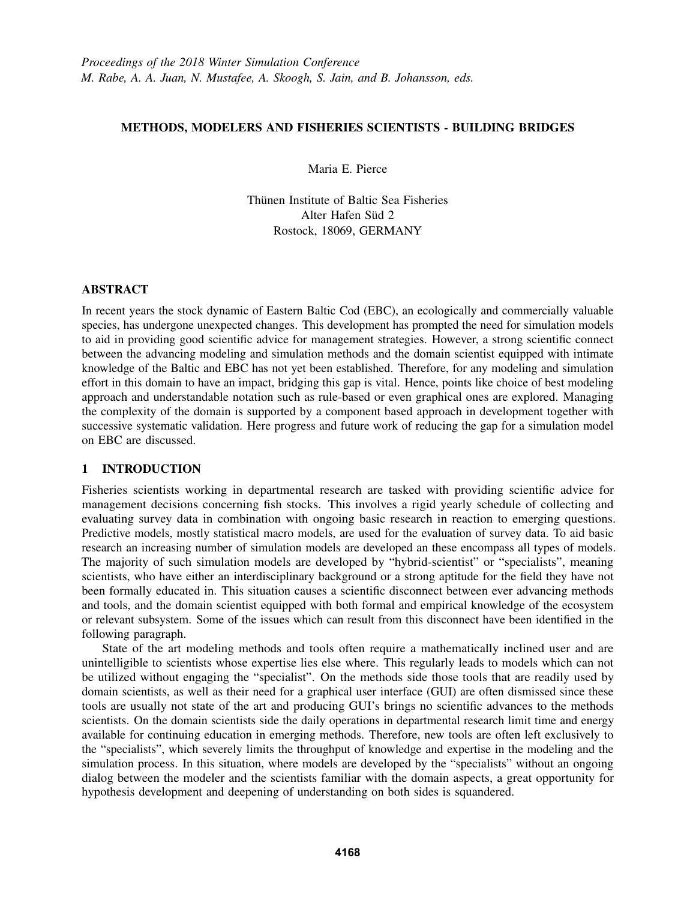# METHODS, MODELERS AND FISHERIES SCIENTISTS - BUILDING BRIDGES

Maria E. Pierce

Thünen Institute of Baltic Sea Fisheries Alter Hafen Süd 2 Rostock, 18069, GERMANY

## ABSTRACT

In recent years the stock dynamic of Eastern Baltic Cod (EBC), an ecologically and commercially valuable species, has undergone unexpected changes. This development has prompted the need for simulation models to aid in providing good scientific advice for management strategies. However, a strong scientific connect between the advancing modeling and simulation methods and the domain scientist equipped with intimate knowledge of the Baltic and EBC has not yet been established. Therefore, for any modeling and simulation effort in this domain to have an impact, bridging this gap is vital. Hence, points like choice of best modeling approach and understandable notation such as rule-based or even graphical ones are explored. Managing the complexity of the domain is supported by a component based approach in development together with successive systematic validation. Here progress and future work of reducing the gap for a simulation model on EBC are discussed.

## 1 INTRODUCTION

Fisheries scientists working in departmental research are tasked with providing scientific advice for management decisions concerning fish stocks. This involves a rigid yearly schedule of collecting and evaluating survey data in combination with ongoing basic research in reaction to emerging questions. Predictive models, mostly statistical macro models, are used for the evaluation of survey data. To aid basic research an increasing number of simulation models are developed an these encompass all types of models. The majority of such simulation models are developed by "hybrid-scientist" or "specialists", meaning scientists, who have either an interdisciplinary background or a strong aptitude for the field they have not been formally educated in. This situation causes a scientific disconnect between ever advancing methods and tools, and the domain scientist equipped with both formal and empirical knowledge of the ecosystem or relevant subsystem. Some of the issues which can result from this disconnect have been identified in the following paragraph.

State of the art modeling methods and tools often require a mathematically inclined user and are unintelligible to scientists whose expertise lies else where. This regularly leads to models which can not be utilized without engaging the "specialist". On the methods side those tools that are readily used by domain scientists, as well as their need for a graphical user interface (GUI) are often dismissed since these tools are usually not state of the art and producing GUI's brings no scientific advances to the methods scientists. On the domain scientists side the daily operations in departmental research limit time and energy available for continuing education in emerging methods. Therefore, new tools are often left exclusively to the "specialists", which severely limits the throughput of knowledge and expertise in the modeling and the simulation process. In this situation, where models are developed by the "specialists" without an ongoing dialog between the modeler and the scientists familiar with the domain aspects, a great opportunity for hypothesis development and deepening of understanding on both sides is squandered.